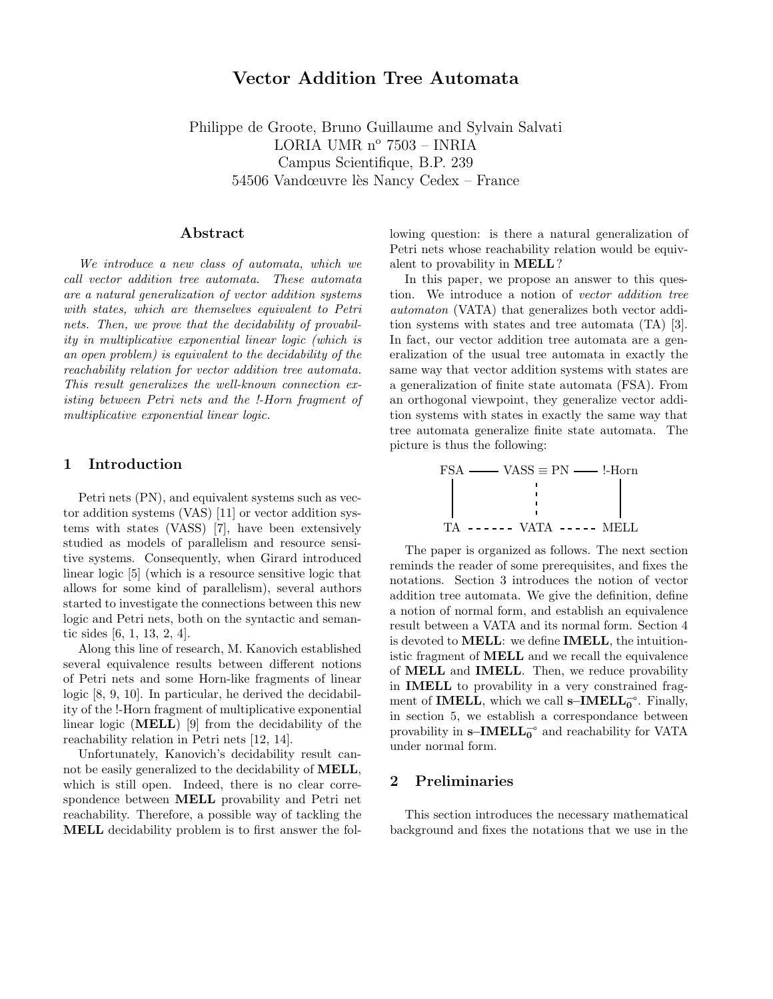# Vector Addition Tree Automata

Philippe de Groote, Bruno Guillaume and Sylvain Salvati LORIA UMR nº 7503 - INRIA Campus Scientifique, B.P. 239 54506 Vandœuvre lès Nancy Cedex – France

### Abstract

We introduce a new class of automata, which we call vector addition tree automata. These automata are a natural generalization of vector addition systems with states, which are themselves equivalent to Petri nets. Then, we prove that the decidability of provability in multiplicative exponential linear logic (which is an open problem) is equivalent to the decidability of the reachability relation for vector addition tree automata. This result generalizes the well-known connection existing between Petri nets and the !-Horn fragment of multiplicative exponential linear logic.

## 1 Introduction

Petri nets (PN), and equivalent systems such as vector addition systems (VAS) [11] or vector addition systems with states (VASS) [7], have been extensively studied as models of parallelism and resource sensitive systems. Consequently, when Girard introduced linear logic [5] (which is a resource sensitive logic that allows for some kind of parallelism), several authors started to investigate the connections between this new logic and Petri nets, both on the syntactic and semantic sides [6, 1, 13, 2, 4].

Along this line of research, M. Kanovich established several equivalence results between different notions of Petri nets and some Horn-like fragments of linear logic [8, 9, 10]. In particular, he derived the decidability of the !-Horn fragment of multiplicative exponential linear logic (MELL) [9] from the decidability of the reachability relation in Petri nets [12, 14].

Unfortunately, Kanovich's decidability result cannot be easily generalized to the decidability of MELL, which is still open. Indeed, there is no clear correspondence between MELL provability and Petri net reachability. Therefore, a possible way of tackling the MELL decidability problem is to first answer the following question: is there a natural generalization of Petri nets whose reachability relation would be equivalent to provability in MELL?

In this paper, we propose an answer to this question. We introduce a notion of vector addition tree automaton (VATA) that generalizes both vector addition systems with states and tree automata (TA) [3]. In fact, our vector addition tree automata are a generalization of the usual tree automata in exactly the same way that vector addition systems with states are a generalization of finite state automata (FSA). From an orthogonal viewpoint, they generalize vector addition systems with states in exactly the same way that tree automata generalize finite state automata. The picture is thus the following:



The paper is organized as follows. The next section reminds the reader of some prerequisites, and fixes the notations. Section 3 introduces the notion of vector addition tree automata. We give the definition, define a notion of normal form, and establish an equivalence result between a VATA and its normal form. Section 4 is devoted to MELL: we define IMELL, the intuitionistic fragment of MELL and we recall the equivalence of MELL and IMELL. Then, we reduce provability in IMELL to provability in a very constrained fragment of **IMELL**, which we call s–**IMELL**<sup>- $\circ$ </sup>. Finally, in section 5, we establish a correspondance between provability in  $s$ −IMELL<sub>0</sub><sup>o</sup> and reachability for VATA under normal form.

#### 2 Preliminaries

This section introduces the necessary mathematical background and fixes the notations that we use in the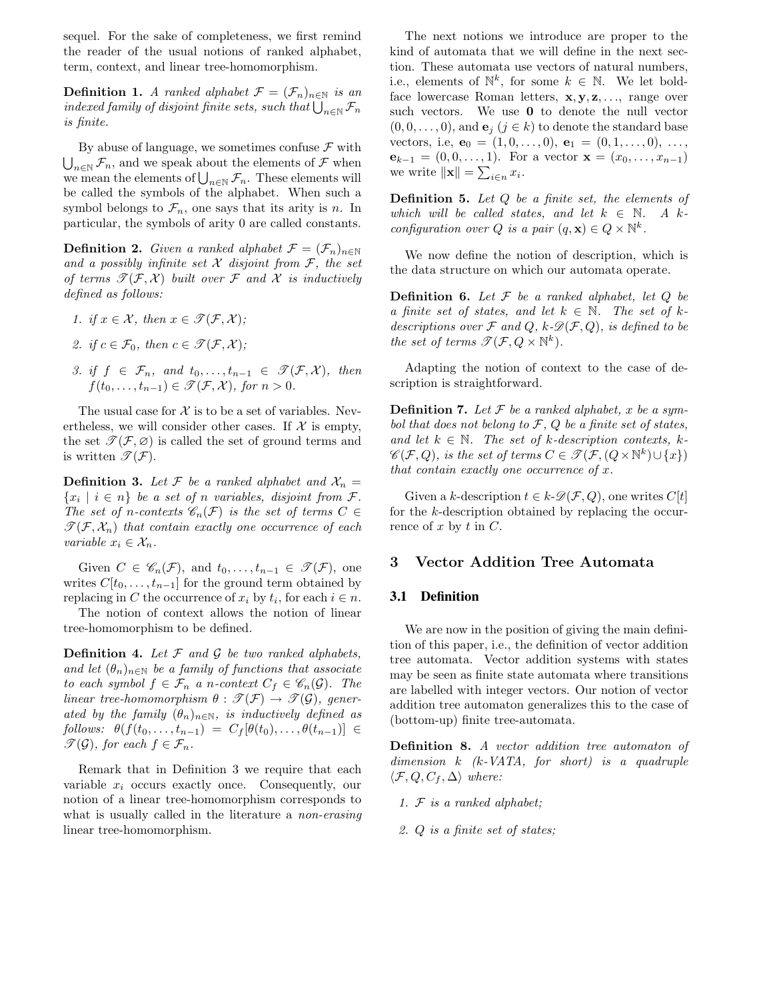sequel. For the sake of completeness, we first remind the reader of the usual notions of ranked alphabet, term, context, and linear tree-homomorphism.

**Definition 1.** A ranked alphabet  $\mathcal{F} = (\mathcal{F}_n)_{n \in \mathbb{N}}$  is an indexed family of disjoint finite sets, such that  $\bigcup_{n\in\mathbb{N}}\mathcal{F}_n$ is finite.

By abuse of language, we sometimes confuse  $\mathcal F$  with  $\bigcup_{n\in\mathbb{N}}\mathcal{F}_n$ , and we speak about the elements of  $\mathcal F$  when we mean the elements of  $\bigcup_{n\in\mathbb{N}}\mathcal{F}_n$ . These elements will be called the symbols of the alphabet. When such a symbol belongs to  $\mathcal{F}_n$ , one says that its arity is n. In particular, the symbols of arity 0 are called constants.

**Definition 2.** Given a ranked alphabet  $\mathcal{F} = (\mathcal{F}_n)_{n \in \mathbb{N}}$ and a possibly infinite set  $X$  disjoint from  $\mathcal{F}$ , the set of terms  $\mathscr{T}(\mathcal{F}, \mathcal{X})$  built over  $\mathcal F$  and  $\mathcal X$  is inductively defined as follows:

- 1. if  $x \in \mathcal{X}$ , then  $x \in \mathcal{T}(\mathcal{F}, \mathcal{X})$ ;
- 2. if  $c \in \mathcal{F}_0$ , then  $c \in \mathcal{F}(\mathcal{F}, \mathcal{X})$ ;
- 3. if  $f \in \mathcal{F}_n$ , and  $t_0, \ldots, t_{n-1} \in \mathcal{F}(\mathcal{F}, \mathcal{X})$ , then  $f(t_0,\ldots,t_{n-1}) \in \mathcal{T}(\mathcal{F},\mathcal{X})$ , for  $n > 0$ .

The usual case for  $\mathcal X$  is to be a set of variables. Nevertheless, we will consider other cases. If  $\mathcal X$  is empty, the set  $\mathcal{T}(\mathcal{F}, \varnothing)$  is called the set of ground terms and is written  $\mathscr{T}(F)$ .

**Definition 3.** Let F be a ranked alphabet and  $X_n =$  $\{x_i \mid i \in n\}$  be a set of n variables, disjoint from  $\mathcal{F}$ . The set of n-contexts  $\mathscr{C}_n(\mathcal{F})$  is the set of terms  $C \in$  $\mathscr{T}(\mathcal{F}, \mathcal{X}_n)$  that contain exactly one occurrence of each variable  $x_i \in \mathcal{X}_n$ .

Given  $C \in \mathscr{C}_n(\mathcal{F})$ , and  $t_0, \ldots, t_{n-1} \in \mathscr{T}(\mathcal{F})$ , one writes  $C[t_0,\ldots,t_{n-1}]$  for the ground term obtained by replacing in C the occurrence of  $x_i$  by  $t_i$ , for each  $i \in n$ .

The notion of context allows the notion of linear tree-homomorphism to be defined.

**Definition 4.** Let  $\mathcal F$  and  $\mathcal G$  be two ranked alphabets, and let  $(\theta_n)_{n\in\mathbb{N}}$  be a family of functions that associate to each symbol  $f \in \mathcal{F}_n$  a n-context  $C_f \in \mathcal{C}_n(\mathcal{G})$ . The linear tree-homomorphism  $\theta : \mathscr{T}(\mathcal{F}) \to \mathscr{T}(\mathcal{G})$ , generated by the family  $(\theta_n)_{n\in\mathbb{N}}$ , is inductively defined as  $follows: \theta(f(t_0,\ldots,t_{n-1}) = C_f[\theta(t_0),\ldots,\theta(t_{n-1})] \in$  $\mathscr{T}(\mathcal{G})$ , for each  $f \in \mathcal{F}_n$ .

Remark that in Definition 3 we require that each variable  $x_i$  occurs exactly once. Consequently, our notion of a linear tree-homomorphism corresponds to what is usually called in the literature a *non-erasing* linear tree-homomorphism.

The next notions we introduce are proper to the kind of automata that we will define in the next section. These automata use vectors of natural numbers, i.e., elements of  $\mathbb{N}^k$ , for some  $k \in \mathbb{N}$ . We let boldface lowercase Roman letters,  $x, y, z, \ldots$ , range over such vectors. We use 0 to denote the null vector  $(0, 0, \ldots, 0)$ , and  $\mathbf{e}_i$   $(j \in k)$  to denote the standard base vectors, i.e,  $\mathbf{e}_0 = (1, 0, \ldots, 0), \mathbf{e}_1 = (0, 1, \ldots, 0), \ldots,$  $e_{k-1} = (0, 0, \ldots, 1)$ . For a vector  $\mathbf{x} = (x_0, \ldots, x_{n-1})$ we write  $\|\mathbf{x}\| = \sum_{i \in n} x_i$ .

**Definition 5.** Let  $Q$  be a finite set, the elements of which will be called states, and let  $k \in \mathbb{N}$ . A kconfiguration over Q is a pair  $(q, \mathbf{x}) \in Q \times \mathbb{N}^k$ .

We now define the notion of description, which is the data structure on which our automata operate.

**Definition 6.** Let  $\mathcal F$  be a ranked alphabet, let  $Q$  be a finite set of states, and let  $k \in \mathbb{N}$ . The set of kdescriptions over  $\mathcal F$  and  $Q$ ,  $k\text{-}\mathscr{D}(\mathcal F, Q)$ , is defined to be the set of terms  $\mathscr{T}(\mathcal{F}, Q \times \mathbb{N}^k)$ .

Adapting the notion of context to the case of description is straightforward.

**Definition 7.** Let  $\mathcal F$  be a ranked alphabet, x be a symbol that does not belong to  $\mathcal{F}$ ,  $\mathcal{Q}$  be a finite set of states, and let  $k \in \mathbb{N}$ . The set of k-description contexts, k- $\mathscr{C}(\mathcal{F}, Q)$ , is the set of terms  $C \in \mathscr{T}(\mathcal{F}, (Q \times \mathbb{N}^k) \cup \{x\})$ that contain exactly one occurrence of  $x$ .

Given a k-description  $t \in k\text{-}\mathscr{D}(\mathcal{F}, Q)$ , one writes  $C[t]$ for the k-description obtained by replacing the occurrence of  $x$  by  $t$  in  $C$ .

## 3 Vector Addition Tree Automata

## **3.1 Definition**

We are now in the position of giving the main definition of this paper, i.e., the definition of vector addition tree automata. Vector addition systems with states may be seen as finite state automata where transitions are labelled with integer vectors. Our notion of vector addition tree automaton generalizes this to the case of (bottom-up) finite tree-automata.

Definition 8. A vector addition tree automaton of dimension  $k$  ( $k$ -VATA, for short) is a quadruple  $\langle \mathcal{F}, Q, C_f, \Delta \rangle$  where:

- 1. F is a ranked alphabet;
- 2. Q is a finite set of states;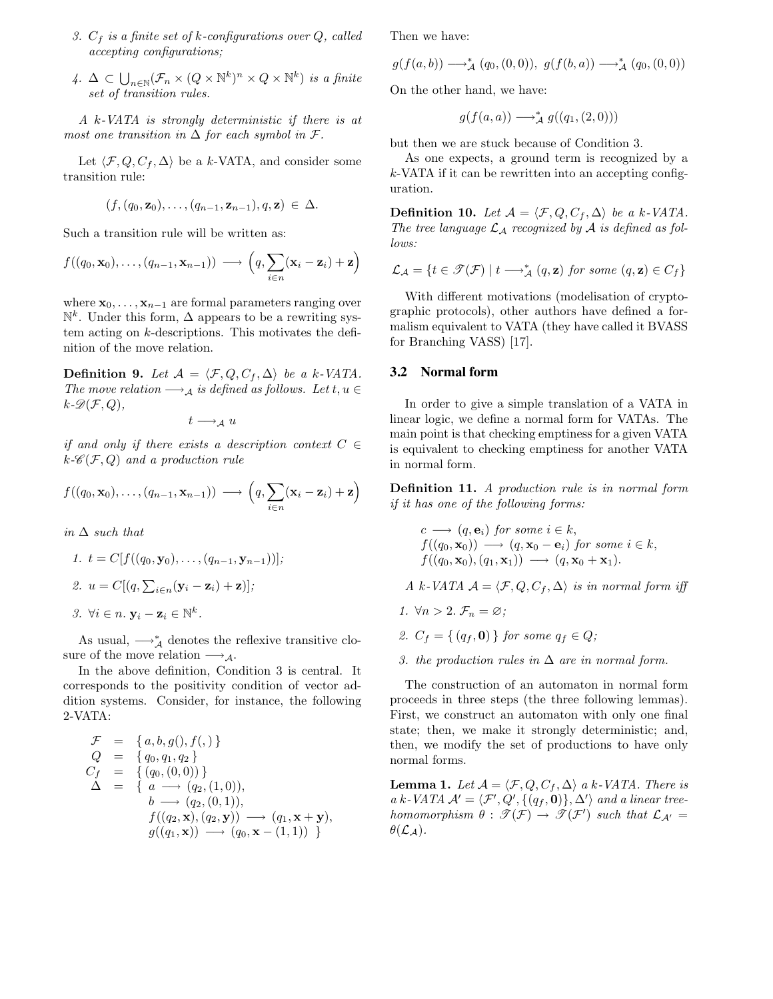- 3.  $C_f$  is a finite set of k-configurations over Q, called accepting configurations;
- 4.  $\Delta \subset \bigcup_{n\in \mathbb{N}} (\mathcal{F}_n \times (Q \times \mathbb{N}^k)^n \times Q \times \mathbb{N}^k)$  is a finite set of transition rules.

A k-VATA is strongly deterministic if there is at most one transition in  $\Delta$  for each symbol in  $\mathcal{F}.$ 

Let  $\langle \mathcal{F}, Q, C_f, \Delta \rangle$  be a k-VATA, and consider some transition rule:

$$
(f,(q_0,\mathbf{z}_0),\ldots,(q_{n-1},\mathbf{z}_{n-1}),q,\mathbf{z}) \in \Delta.
$$

Such a transition rule will be written as:

$$
f((q_0, \mathbf{x}_0),..., (q_{n-1}, \mathbf{x}_{n-1})) \longrightarrow (q, \sum_{i \in n} (\mathbf{x}_i - \mathbf{z}_i) + \mathbf{z})
$$

where  $\mathbf{x}_0,\ldots,\mathbf{x}_{n-1}$  are formal parameters ranging over  $\mathbb{N}^k$ . Under this form,  $\Delta$  appears to be a rewriting system acting on k-descriptions. This motivates the definition of the move relation.

**Definition 9.** Let  $\mathcal{A} = \langle \mathcal{F}, Q, C_f, \Delta \rangle$  be a k-VATA. The move relation  $\longrightarrow_A$  is defined as follows. Let  $t, u \in$  $k\text{-}\mathscr{D}(\mathcal{F}, Q),$ 

 $t \longrightarrow_{\mathcal{A}} u$ 

if and only if there exists a description context  $C \in$  $k\text{-}\mathscr{C}(\mathcal{F}, Q)$  and a production rule

$$
f((q_0, \mathbf{x}_0),..., (q_{n-1}, \mathbf{x}_{n-1})) \longrightarrow (q, \sum_{i \in n} (\mathbf{x}_i - \mathbf{z}_i) + \mathbf{z})
$$

in  $\Delta$  such that

\n- 1. 
$$
t = C[f((q_0, \mathbf{y}_0), \ldots, (q_{n-1}, \mathbf{y}_{n-1}))];
$$
\n- 2.  $u = C[(q, \sum_{i \in n} (\mathbf{y}_i - \mathbf{z}_i) + \mathbf{z})];$
\n- 3.  $\forall i \in n$ .  $\mathbf{y}_i - \mathbf{z}_i \in \mathbb{N}^k$ .
\n

As usual,  $\longrightarrow_{\mathcal{A}}^*$  denotes the reflexive transitive closure of the move relation  $\longrightarrow_A$ .

In the above definition, Condition 3 is central. It corresponds to the positivity condition of vector addition systems. Consider, for instance, the following 2-VATA:

$$
\mathcal{F} = \{a, b, g(), f(,) \}\nQ = \{q_0, q_1, q_2\}\nC_f = \{(q_0, (0, 0))\}\n\Delta = \{a \rightarrow (q_2, (1, 0)),\n b \rightarrow (q_2, (0, 1)),\n f((q_2, \mathbf{x}), (q_2, \mathbf{y})) \rightarrow (q_1, \mathbf{x} + \mathbf{y}),\n g((q_1, \mathbf{x})) \rightarrow (q_0, \mathbf{x} - (1, 1)) \}
$$

Then we have:

$$
g(f(a,b)) \longrightarrow_A^* (q_0,(0,0)), g(f(b,a)) \longrightarrow_A^* (q_0,(0,0))
$$

On the other hand, we have:

$$
g(f(a, a)) \longrightarrow_A^* g((q_1, (2, 0)))
$$

but then we are stuck because of Condition 3.

As one expects, a ground term is recognized by a  $k$ -VATA if it can be rewritten into an accepting configuration.

**Definition 10.** Let  $\mathcal{A} = \langle \mathcal{F}, Q, C_f, \Delta \rangle$  be a k-VATA. The tree language  $\mathcal{L}_\mathcal{A}$  recognized by  $\mathcal A$  is defined as follows:

$$
\mathcal{L}_{\mathcal{A}} = \{ t \in \mathcal{F}(\mathcal{F}) \mid t \longrightarrow_{\mathcal{A}}^{*} (q, \mathbf{z}) \text{ for some } (q, \mathbf{z}) \in C_{f} \}
$$

With different motivations (modelisation of cryptographic protocols), other authors have defined a formalism equivalent to VATA (they have called it BVASS for Branching VASS) [17].

#### **3.2 Normal form**

In order to give a simple translation of a VATA in linear logic, we define a normal form for VATAs. The main point is that checking emptiness for a given VATA is equivalent to checking emptiness for another VATA in normal form.

**Definition 11.** A production rule is in normal form if it has one of the following forms:

$$
c \longrightarrow (q, \mathbf{e}_i) \text{ for some } i \in k,
$$
  
\n
$$
f((q_0, \mathbf{x}_0)) \longrightarrow (q, \mathbf{x}_0 - \mathbf{e}_i) \text{ for some } i \in k,
$$
  
\n
$$
f((q_0, \mathbf{x}_0), (q_1, \mathbf{x}_1)) \longrightarrow (q, \mathbf{x}_0 + \mathbf{x}_1).
$$

A k-VATA  $A = \langle \mathcal{F}, Q, C_f, \Delta \rangle$  is in normal form iff

- 1.  $\forall n > 2$ .  $\mathcal{F}_n = \varnothing$ ;
- 2.  $C_f = \{ (q_f, \mathbf{0}) \}$  for some  $q_f \in Q$ ;
- 3. the production rules in  $\Delta$  are in normal form.

The construction of an automaton in normal form proceeds in three steps (the three following lemmas). First, we construct an automaton with only one final state; then, we make it strongly deterministic; and, then, we modify the set of productions to have only normal forms.

**Lemma 1.** Let  $\mathcal{A} = \langle \mathcal{F}, Q, C_f, \Delta \rangle$  a k-VATA. There is a k-VATA  $\mathcal{A}' = \langle \mathcal{F}', Q', \{(q_f, \mathbf{0})\}, \Delta' \rangle$  and a linear treehomomorphism  $\theta : \mathscr{T}(\mathcal{F}) \to \mathscr{T}(\mathcal{F}')$  such that  $\mathcal{L}_{\mathcal{A}'} =$  $\theta(\mathcal{L}_\mathcal{A})$ .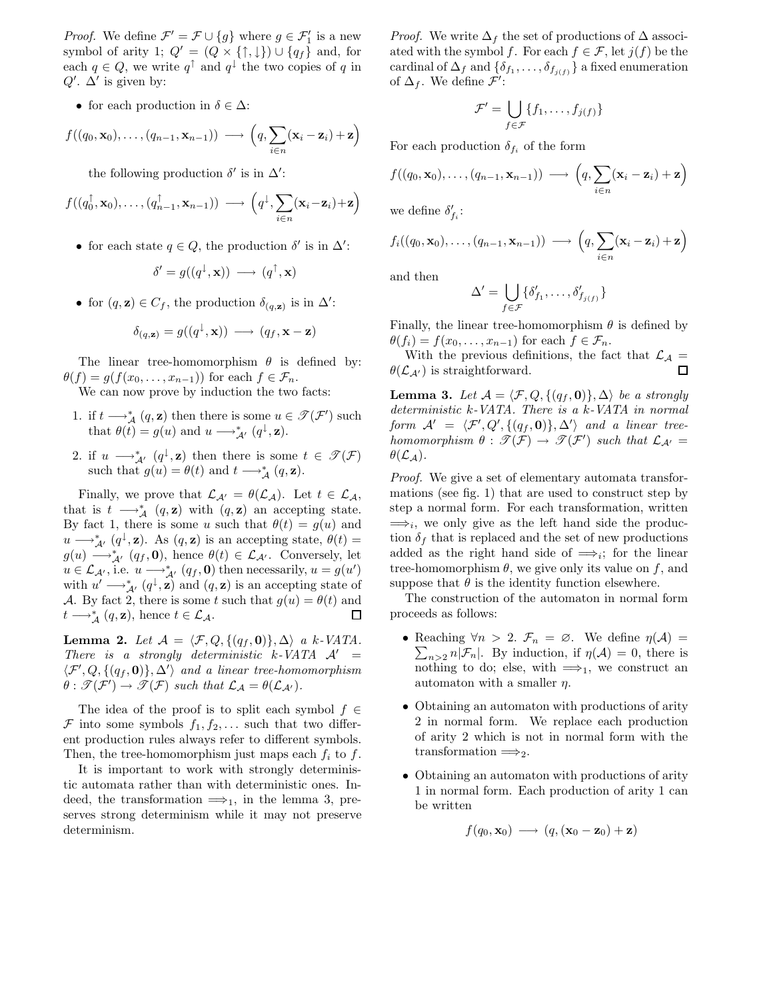*Proof.* We define  $\mathcal{F}' = \mathcal{F} \cup \{g\}$  where  $g \in \mathcal{F}'_1$  is a new symbol of arity 1;  $Q' = (Q \times {\{\uparrow,\downarrow\}}) \cup {q_f}$  and, for each  $q \in Q$ , we write  $q^{\uparrow}$  and  $q^{\downarrow}$  the two copies of q in  $Q'$ .  $\Delta'$  is given by:

• for each production in  $\delta \in \Delta$ :

$$
f((q_0, \mathbf{x}_0),..., (q_{n-1}, \mathbf{x}_{n-1})) \longrightarrow (q, \sum_{i \in n} (\mathbf{x}_i - \mathbf{z}_i) + \mathbf{z})
$$

the following production  $\delta'$  is in  $\Delta'$ :

$$
f((q_0^{\uparrow}, \mathbf{x}_0), \ldots, (q_{n-1}^{\uparrow}, \mathbf{x}_{n-1})) \longrightarrow (q^{\downarrow}, \sum_{i \in n} (\mathbf{x}_i - \mathbf{z}_i) + \mathbf{z})
$$

• for each state  $q \in Q$ , the production  $\delta'$  is in  $\Delta'$ :

$$
\delta' = g((q^{\downarrow}, \mathbf{x})) \longrightarrow (q^{\uparrow}, \mathbf{x})
$$

• for  $(q, \mathbf{z}) \in C_f$ , the production  $\delta_{(q, \mathbf{z})}$  is in  $\Delta'$ :

$$
\delta_{(q,\mathbf{z})} = g((q^{\downarrow}, \mathbf{x})) \longrightarrow (q_f, \mathbf{x} - \mathbf{z})
$$

The linear tree-homomorphism  $\theta$  is defined by:  $\theta(f) = g(f(x_0, \ldots, x_{n-1}))$  for each  $f \in \mathcal{F}_n$ .

We can now prove by induction the two facts:

- 1. if  $t \longrightarrow_A^* (q, \mathbf{z})$  then there is some  $u \in \mathcal{T}(\mathcal{F}')$  such that  $\theta(t) = g(u)$  and  $u \longrightarrow_{\mathcal{A}'}^* (q^{\downarrow}, \mathbf{z}).$
- 2. if  $u \longrightarrow_{\mathcal{A}}^* (q^{\downarrow}, \mathbf{z})$  then there is some  $t \in \mathscr{T}(\mathcal{F})$ such that  $g(u) = \theta(t)$  and  $t \longrightarrow_A^* (q, \mathbf{z})$ .

Finally, we prove that  $\mathcal{L}_{\mathcal{A}'} = \theta(\mathcal{L}_{\mathcal{A}})$ . Let  $t \in \mathcal{L}_{\mathcal{A}}$ , that is  $t \longrightarrow_A^* (q, \mathbf{z})$  with  $(q, \mathbf{z})$  an accepting state. By fact 1, there is some u such that  $\theta(t) = g(u)$  and  $u \longrightarrow_{\mathcal{A}'}^* (q^{\downarrow}, \mathbf{z})$ . As  $(q, \mathbf{z})$  is an accepting state,  $\theta(t) =$  $g(u) \longrightarrow_{\mathcal{A}'}^* (q_f, \mathbf{0}),$  hence  $\theta(t) \in \mathcal{L}_{\mathcal{A}'}$ . Conversely, let  $u \in \mathcal{L}_{\mathcal{A}}$ , i.e.  $u \longrightarrow_{\mathcal{A}'}^* (q_f, \mathbf{0})$  then necessarily,  $u = g(u')$ with  $u' \longrightarrow_{\mathcal{A}'}^* (q^{\downarrow}, \mathbf{z})$  and  $(q, \mathbf{z})$  is an accepting state of A. By fact 2, there is some t such that  $g(u) = \theta(t)$  and  $t \longrightarrow^*_{A} (g, \mathbf{z})$ , hence  $t \in \mathcal{L}_{A}$ .  $t \longrightarrow_A^* (q, \mathbf{z})$ , hence  $t \in \mathcal{L}_A$ .

**Lemma 2.** Let  $\mathcal{A} = \langle \mathcal{F}, Q, \{ (q_f, \mathbf{0}) \}, \Delta \rangle$  a k-VATA. There is a strongly deterministic k-VATA  $\mathcal{A}' =$  $\langle \mathcal{F}', Q, \{ (q_f, \mathbf{0}) \}, \Delta' \rangle$  and a linear tree-homomorphism  $\theta : \mathscr{T}(\mathcal{F}') \to \mathscr{T}(\mathcal{F})$  such that  $\mathcal{L}_{\mathcal{A}} = \theta(\mathcal{L}_{\mathcal{A}'}).$ 

The idea of the proof is to split each symbol  $f \in$ F into some symbols  $f_1, f_2, \ldots$  such that two different production rules always refer to different symbols. Then, the tree-homomorphism just maps each  $f_i$  to  $f$ .

It is important to work with strongly deterministic automata rather than with deterministic ones. Indeed, the transformation  $\implies_1$ , in the lemma 3, preserves strong determinism while it may not preserve determinism.

*Proof.* We write  $\Delta_f$  the set of productions of  $\Delta$  associated with the symbol f. For each  $f \in \mathcal{F}$ , let  $j(f)$  be the cardinal of  $\Delta_f$  and  $\{\delta_{f_1}, \ldots, \delta_{f_{i(f)}}\}$  a fixed enumeration of  $\Delta_f$ . We define  $\mathcal{F}'$ :

$$
\mathcal{F}' = \bigcup_{f \in \mathcal{F}} \{f_1, \ldots, f_{j(f)}\}
$$

For each production  $\delta_{f_i}$  of the form

$$
f((q_0, \mathbf{x}_0),..., (q_{n-1}, \mathbf{x}_{n-1})) \longrightarrow (q, \sum_{i \in n} (\mathbf{x}_i - \mathbf{z}_i) + \mathbf{z})
$$

we define  $\delta'_{f_i}$ :

$$
f_i((q_0, \mathbf{x}_0), \ldots, (q_{n-1}, \mathbf{x}_{n-1})) \longrightarrow (q, \sum_{i \in n} (\mathbf{x}_i - \mathbf{z}_i) + \mathbf{z})
$$

and then

$$
\Delta' = \bigcup_{f \in \mathcal{F}} \{ \delta'_{f_1}, \dots, \delta'_{f_{j(f)}} \}
$$

Finally, the linear tree-homomorphism  $\theta$  is defined by  $\theta(f_i) = f(x_0, \ldots, x_{n-1})$  for each  $f \in \mathcal{F}_n$ .

With the previous definitions, the fact that  $\mathcal{L}_{\mathcal{A}} =$ <br> $\mathcal{L}_{\mathcal{A}'}$  is straightforward.  $\theta(\mathcal{L}_{\mathcal{A}'} )$  is straightforward.

**Lemma 3.** Let  $\mathcal{A} = \langle \mathcal{F}, Q, \{ (q_f, \mathbf{0}) \}, \Delta \rangle$  be a strongly deterministic k-VATA. There is a k-VATA in normal form  $\mathcal{A}' = \langle \mathcal{F}', Q', \{(q_f, \mathbf{0})\}, \Delta' \rangle$  and a linear treehomomorphism  $\theta : \mathscr{T}(\mathcal{F}) \to \mathscr{T}(\mathcal{F}')$  such that  $\mathcal{L}_{\mathcal{A}'} =$  $\theta(\mathcal{L}_\mathcal{A}).$ 

Proof. We give a set of elementary automata transformations (see fig. 1) that are used to construct step by step a normal form. For each transformation, written  $\implies_i$ , we only give as the left hand side the production  $\delta_f$  that is replaced and the set of new productions added as the right hand side of  $\implies$ <sub>i</sub>; for the linear tree-homomorphism  $\theta$ , we give only its value on f, and suppose that  $\theta$  is the identity function elsewhere.

The construction of the automaton in normal form proceeds as follows:

- Reaching  $\forall n > 2$ .  $\mathcal{F}_n = \emptyset$ . We define  $\eta(\mathcal{A}) =$  $\sum_{n>2} n|\mathcal{F}_n|$ . By induction, if  $\eta(\mathcal{A})=0$ , there is nothing to do; else, with  $\implies_1$ , we construct an automaton with a smaller  $\eta$ .
- Obtaining an automaton with productions of arity 2 in normal form. We replace each production of arity 2 which is not in normal form with the transformation  $\Longrightarrow_2$ .
- Obtaining an automaton with productions of arity 1 in normal form. Each production of arity 1 can be written

$$
f(q_0, \mathbf{x}_0) \longrightarrow (q, (\mathbf{x}_0 - \mathbf{z}_0) + \mathbf{z})
$$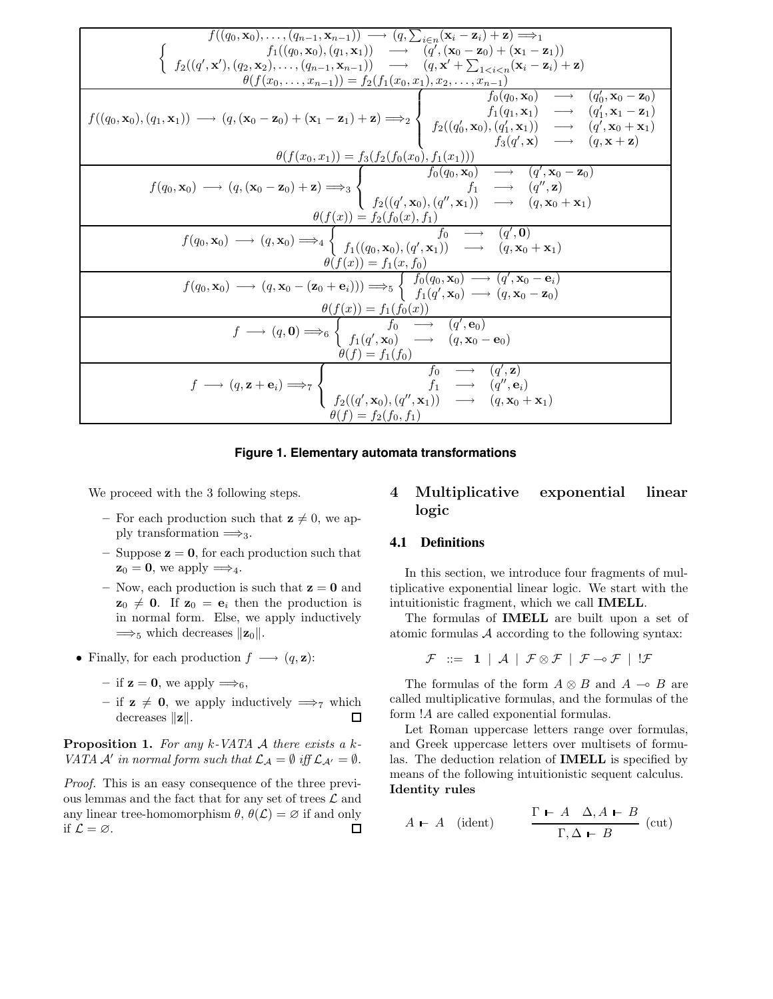| $f((q_0, \mathbf{x}_0), \ldots, (q_{n-1}, \mathbf{x}_{n-1})) \longrightarrow (q, \sum_{i \in n} (\mathbf{x}_i - \mathbf{z}_i) + \mathbf{z}) \Longrightarrow_1$                                                                                                                                                                                                                                                                                                                                                                                                                                                                  |
|---------------------------------------------------------------------------------------------------------------------------------------------------------------------------------------------------------------------------------------------------------------------------------------------------------------------------------------------------------------------------------------------------------------------------------------------------------------------------------------------------------------------------------------------------------------------------------------------------------------------------------|
|                                                                                                                                                                                                                                                                                                                                                                                                                                                                                                                                                                                                                                 |
| $f_1((q_0, \mathbf{x}_0), (q_1, \mathbf{x}_1)) \rightarrow (q', (\mathbf{x}_0 - \mathbf{z}_0) + (\mathbf{x}_1 - \mathbf{z}_1))$<br>$f_2((q', \mathbf{x}'), (q_2, \mathbf{x}_2), \ldots, (q_{n-1}, \mathbf{x}_{n-1})) \rightarrow (q, \mathbf{x}' + \sum_{1 \leq i \leq n} (\mathbf{x}_i - \mathbf{z}_i) + \mathbf{z})$                                                                                                                                                                                                                                                                                                          |
| $\theta(f(x_0,,x_{n-1})) = f_2(f_1(x_0,x_1),x_2,,x_{n-1})$                                                                                                                                                                                                                                                                                                                                                                                                                                                                                                                                                                      |
| $f_0(q_0, \mathbf{x}_0) \longrightarrow (q'_0, \mathbf{x}_0 - \mathbf{z}_0)$<br>$f((q_0, \mathbf{x}_0), (q_1, \mathbf{x}_1)) \longrightarrow (q, (\mathbf{x}_0 - \mathbf{z}_0) + (\mathbf{x}_1 - \mathbf{z}_1) + \mathbf{z}) \Longrightarrow \left\{\begin{array}{ccc} \widetilde{f}_1(q_1, \mathbf{x}_1) & \longrightarrow & (q_1', \mathbf{x}_1 - \mathbf{z}_1) \\ f_2((q_0', \mathbf{x}_0), (q_1', \mathbf{x}_1)) & \longrightarrow & (q', \mathbf{x}_0 + \mathbf{x}_1) \\ f_3(q', \mathbf{x}) & \longrightarrow & (q, \mathbf{x} + \mathbf{z}) \end{array}\right\}$<br>$\theta(f(x_0, x_1)) = f_3(f_2(f_0(x_0), f_1(x_1)))$ |
|                                                                                                                                                                                                                                                                                                                                                                                                                                                                                                                                                                                                                                 |
| $\theta(f(x_0, x_1)) = f_3(f_2(f_0(x_0), f_1(x_1)))$<br>$f(q_0, \mathbf{x}_0) \longrightarrow (q, (\mathbf{x}_0 - \mathbf{z}_0) + \mathbf{z}) \Longrightarrow_3 \begin{cases} f_2(f_0(x_0), f_1(x_1))) \\ f_0(q_0, \mathbf{x}_0) \longrightarrow (q', \mathbf{x}_0 - \mathbf{z}_0) \\ f_2((q', \mathbf{x}_0), (q'', \mathbf{x}_1)) \longrightarrow (q, \mathbf{x}_0 + \mathbf{x}_1) \end{cases}$                                                                                                                                                                                                                                |
|                                                                                                                                                                                                                                                                                                                                                                                                                                                                                                                                                                                                                                 |
| $f(q_0, \mathbf{x}_0) \longrightarrow (q, \mathbf{x}_0) \Longrightarrow_4 \begin{cases} f_1((q_0, \mathbf{x}_0), f_1) & f_0 \longrightarrow (q', \mathbf{0}) \\ f_1((q_0, \mathbf{x}_0), (q', \mathbf{x}_1)) & \longrightarrow (q, \mathbf{x}_0 + \mathbf{x}_1) \end{cases}$<br>$\theta(f(x)) = f_1(x, f_0)$                                                                                                                                                                                                                                                                                                                    |
| $f(q_0, \mathbf{x}_0) \longrightarrow (q, \mathbf{x}_0 - (\mathbf{z}_0 + \mathbf{e}_i))) \Longrightarrow_{5} \begin{cases} f_0(q_0, \mathbf{x}_0) \longrightarrow (q', \mathbf{x}_0 - \mathbf{e}_i) \\ f_1(q', \mathbf{x}_0) \longrightarrow (q, \mathbf{x}_0 - \mathbf{z}_0) \end{cases}$                                                                                                                                                                                                                                                                                                                                      |
| $\theta(f(x)) = f_1(f_0(x))$<br>$f \longrightarrow (q, \mathbf{0}) \Longrightarrow_6 \begin{cases} f_0 \longrightarrow (q', \mathbf{e}_0) \\ f_1(q', \mathbf{x}_0) \longrightarrow (q, \mathbf{x}_0 - \mathbf{e}_0) \end{cases}$<br>$\theta(f) = f_1(f_0)$                                                                                                                                                                                                                                                                                                                                                                      |
| $f \longrightarrow (q, \mathbf{z} + \mathbf{e}_i) \Longrightarrow_{7} \begin{cases} f_0 & \longrightarrow (q', \mathbf{z}) \\ f_1 & \longrightarrow (q'', \mathbf{e}_i) \\ f_2((q', \mathbf{x}_0), (q'', \mathbf{x}_1)) & \longrightarrow (q, \mathbf{x}_0 + \mathbf{x}_1) \end{cases}$<br>$\theta(f) = f_2(f_0, f_1)$                                                                                                                                                                                                                                                                                                          |

#### **Figure 1. Elementary automata transformations**

We proceed with the 3 following steps.

- For each production such that  $z \neq 0$ , we apply transformation  $\Longrightarrow_3$ .
- Suppose  $z = 0$ , for each production such that  $z_0 = 0$ , we apply  $\Longrightarrow_4$ .
- Now, each production is such that  $z = 0$  and  $z_0 \neq 0$ . If  $z_0 = e_i$  then the production is in normal form. Else, we apply inductively  $\Longrightarrow_5$  which decreases  $||\mathbf{z}_0||$ .
- Finally, for each production  $f \longrightarrow (q, \mathbf{z})$ :
	- if  $z = 0$ , we apply  $\Longrightarrow_6$ ,
	- if **z**  $\neq$  **0**, we apply inductively ⇒ $_7$  which decreases  $||z||$ .  $\Box$ decreases  $||\mathbf{z}||$ .

**Proposition 1.** For any k-VATA  $\mathcal A$  there exists a k-VATA  $\mathcal A'$  in normal form such that  $\mathcal L_{\mathcal A} = \emptyset$  iff  $\mathcal L_{\mathcal A'} = \emptyset$ .

Proof. This is an easy consequence of the three previous lemmas and the fact that for any set of trees  $\mathcal L$  and any linear tree-homomorphism  $\theta$ ,  $\theta(\mathcal{L}) = \emptyset$  if and only if  $\mathcal{L} = \emptyset$ . if  $\mathcal{L} = \varnothing$ .

## 4 Multiplicative exponential linear logic

### **4.1 Definitions**

In this section, we introduce four fragments of multiplicative exponential linear logic. We start with the intuitionistic fragment, which we call IMELL.

The formulas of IMELL are built upon a set of atomic formulas A according to the following syntax:

$$
\mathcal{F} \ ::= \ \mathbf{1} \ \vert \ \mathcal{A} \ \vert \ \mathcal{F} \otimes \mathcal{F} \ \vert \ \mathcal{F} \multimap \mathcal{F} \ \vert \ \mathcal{F}
$$

The formulas of the form  $A \otimes B$  and  $A \multimap B$  are called multiplicative formulas, and the formulas of the form !A are called exponential formulas.

Let Roman uppercase letters range over formulas, and Greek uppercase letters over multisets of formulas. The deduction relation of IMELL is specified by means of the following intuitionistic sequent calculus. Identity rules

$$
A \vdash A \quad (\text{ident}) \qquad \frac{\Gamma \vdash A \quad \Delta, A \vdash B}{\Gamma, \Delta \vdash B} \quad (\text{cut})
$$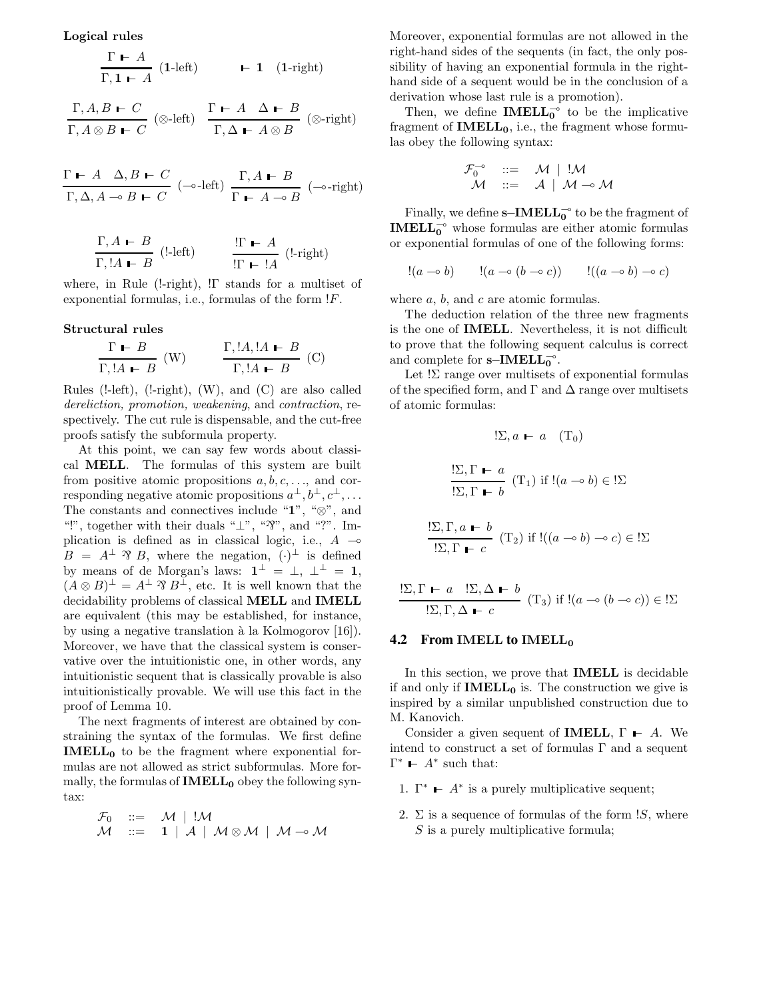Logical rules

$$
\frac{\Gamma \vdash A}{\Gamma, 1 \vdash A} \text{ (1-left)} \qquad \vdash 1 \text{ (1-right)}
$$

$$
\frac{\Gamma, A, B \vdash C}{\Gamma, A \otimes B \vdash C} \text{ (} \otimes\text{-left)} \quad \frac{\Gamma \vdash A \quad \Delta \vdash B}{\Gamma, \Delta \vdash A \otimes B} \text{ (} \otimes\text{-right)}
$$

$$
\frac{\Gamma \vdash A \quad \Delta, B \vdash C}{\Gamma, \Delta, A \multimap B \vdash C} \ \left( \multimap\text{-left} \right) \; \frac{\Gamma, A \vdash B}{\Gamma \vdash A \multimap B} \ \left( \multimap\text{-right} \right)
$$

$$
\frac{\Gamma, A \leftarrow B}{\Gamma, !A \leftarrow B} \quad (\text{left}) \qquad \frac{!\Gamma \leftarrow A}{!\Gamma \leftarrow !A} \quad (\text{left})
$$

where, in Rule (!-right), !Γ stands for a multiset of exponential formulas, i.e., formulas of the form !F.

#### Structural rules

$$
\frac{\Gamma \vdash B}{\Gamma, !A \vdash B} \text{ (W)} \qquad \frac{\Gamma, !A, !A \vdash B}{\Gamma, !A \vdash B} \text{ (C)}
$$

Rules ( $!$ -left),  $(!$ -right),  $(W)$ , and  $(C)$  are also called dereliction, promotion, weakening, and contraction, respectively. The cut rule is dispensable, and the cut-free proofs satisfy the subformula property.

At this point, we can say few words about classical MELL. The formulas of this system are built from positive atomic propositions  $a, b, c, \ldots$ , and corresponding negative atomic propositions  $a^{\perp}, b^{\perp}, c^{\perp}, \ldots$ The constants and connectives include "1", "⊗", and "!", together with their duals " $\perp$ ", " $\mathfrak{B}$ ", and "?". Implication is defined as in classical logic, i.e.,  $A \rightarrow$  $B = A^{\perp} \mathcal{B}$ , where the negation,  $(\cdot)^{\perp}$  is defined by means of de Morgan's laws:  $\mathbf{1}^{\perp} = \perp, \perp^{\perp} = \mathbf{1},$  $(A \otimes B)^{\perp} = A^{\perp} \mathcal{B} B^{\perp}$ , etc. It is well known that the decidability problems of classical MELL and IMELL are equivalent (this may be established, for instance, by using a negative translation à la Kolmogorov  $[16]$ . Moreover, we have that the classical system is conservative over the intuitionistic one, in other words, any intuitionistic sequent that is classically provable is also intuitionistically provable. We will use this fact in the proof of Lemma 10.

The next fragments of interest are obtained by constraining the syntax of the formulas. We first define IMELL<sup>0</sup> to be the fragment where exponential formulas are not allowed as strict subformulas. More formally, the formulas of  $IMELL<sub>0</sub>$  obey the following syntax:

$$
\begin{array}{lll}\n\mathcal{F}_0 & ::= & \mathcal{M} \mid !\mathcal{M} \\
\mathcal{M} & ::= & \mathbf{1} \mid \mathcal{A} \mid \mathcal{M} \otimes \mathcal{M} \mid \mathcal{M} \multimap \mathcal{M}\n\end{array}
$$

Moreover, exponential formulas are not allowed in the right-hand sides of the sequents (in fact, the only possibility of having an exponential formula in the righthand side of a sequent would be in the conclusion of a derivation whose last rule is a promotion).

Then, we define **IMELL**<sup> $\circ$ </sup> to be the implicative fragment of  $IMELL<sub>0</sub>$ , i.e., the fragment whose formulas obey the following syntax:

$$
\begin{array}{rcl}\n\mathcal{F}_0^{-\circ} & ::= & \mathcal{M} \mid !\mathcal{M} \\
\mathcal{M} & ::= & \mathcal{A} \mid \mathcal{M} \multimap \mathcal{M}\n\end{array}
$$

Finally, we define  $s$ −IMELL<sub>0</sub><sup>o</sup> to be the fragment of **IMELL**<sup> $\circ$ </sup> whose formulas are either atomic formulas or exponential formulas of one of the following forms:

$$
!(a \multimap b) \qquad \vdots (a \multimap (b \multimap c)) \qquad \vdots ((a \multimap b) \multimap c)
$$

where  $a, b$ , and  $c$  are atomic formulas.

The deduction relation of the three new fragments is the one of IMELL. Nevertheless, it is not difficult to prove that the following sequent calculus is correct and complete for  $s$ -IMELL<sub>0</sub><sup>-o</sup>.

Let  $\Sigma$  range over multisets of exponential formulas of the specified form, and  $\Gamma$  and  $\Delta$  range over multisets of atomic formulas:

$$
!\Sigma, a \mathrel{\mathsf{L}} a \quad (\mathbf{T}_0)
$$

$$
\frac{! \Sigma, \Gamma - a}{! \Sigma, \Gamma - b} (T_1) \text{ if } [(a \multimap b) \in \mathcal{I} \Sigma]
$$

$$
\frac{\Sigma, \Gamma, a \vdash b}{\Sigma, \Gamma \vdash c} (\mathcal{T}_2) \text{ if } !((a \multimap b) \multimap c) \in \Sigma
$$

$$
\frac{! \Sigma, \Gamma \vdash a \quad !\Sigma, \Delta \vdash b}{! \Sigma, \Gamma, \Delta \vdash c} (T_3) \text{ if } !(a \multimap (b \multimap c)) \in !\Sigma
$$

#### **4.2 From IMELL to IMELL<sub>0</sub>**

In this section, we prove that IMELL is decidable if and only if  $IMELL<sub>0</sub>$  is. The construction we give is inspired by a similar unpublished construction due to M. Kanovich.

Consider a given sequent of **IMELL**,  $\Gamma$  – A. We intend to construct a set of formulas  $\Gamma$  and a sequent  $\Gamma^*$  –  $A^*$  such that:

- 1.  $\Gamma^*$   $A^*$  is a purely multiplicative sequent;
- 2.  $\Sigma$  is a sequence of formulas of the form  $S$ , where  $S$  is a purely multiplicative formula;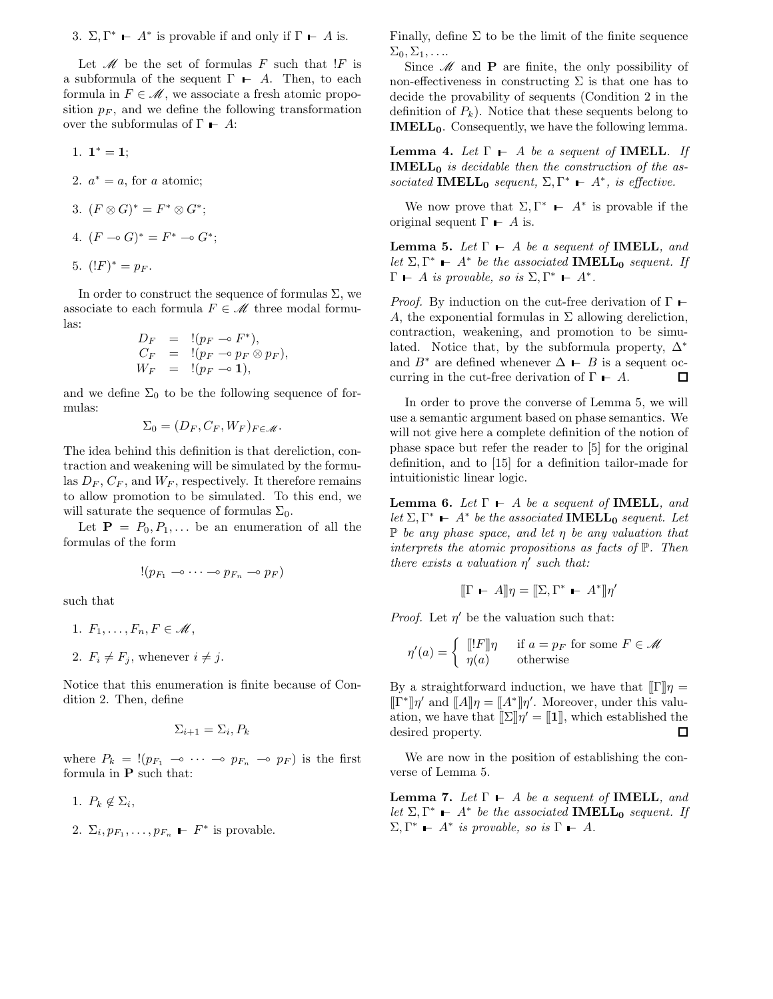3.  $\Sigma, \Gamma^* \vdash A^*$  is provable if and only if  $\Gamma \vdash A$  is.

Let  $\mathcal M$  be the set of formulas F such that  $F$  is a subformula of the sequent  $\Gamma$  – A. Then, to each formula in  $F \in \mathcal{M}$ , we associate a fresh atomic proposition  $p_F$ , and we define the following transformation over the subformulas of  $\Gamma$  – A:

1. 
$$
1^* = 1
$$
;

- 2.  $a^* = a$ , for a atomic;
- 3.  $(F \otimes G)^* = F^* \otimes G^*$ ;
- 4.  $(F \multimap G)^* = F^* \multimap G^*$ ;

$$
5. \ \ (!F)^* = p_F.
$$

In order to construct the sequence of formulas  $\Sigma$ , we associate to each formula  $F \in \mathcal{M}$  three modal formulas:

$$
D_F = !(p_F \rightarrow F^*),
$$
  
\n
$$
C_F = !(p_F \rightarrow p_F \otimes p_F),
$$
  
\n
$$
W_F = !(p_F \rightarrow 1),
$$

and we define  $\Sigma_0$  to be the following sequence of formulas:

$$
\Sigma_0 = (D_F, C_F, W_F)_{F \in \mathcal{M}}.
$$

The idea behind this definition is that dereliction, contraction and weakening will be simulated by the formulas  $D_F$ ,  $C_F$ , and  $W_F$ , respectively. It therefore remains to allow promotion to be simulated. To this end, we will saturate the sequence of formulas  $\Sigma_0$ .

Let  $P = P_0, P_1, \ldots$  be an enumeration of all the formulas of the form

$$
!(p_{F_1}\multimap \dots \multimap p_{F_n}\multimap p_F)
$$

such that

- 1.  $F_1,\ldots,F_n, F \in \mathcal{M}$ ,
- 2.  $F_i \neq F_j$ , whenever  $i \neq j$ .

Notice that this enumeration is finite because of Condition 2. Then, define

$$
\Sigma_{i+1} = \Sigma_i, P_k
$$

where  $P_k = \langle (p_{F_1} \sim \cdots \sim p_{F_n} \sim p_F)$  is the first formula in P such that:

1.  $P_k \notin \Sigma_i$ ,

2. 
$$
\Sigma_i, p_{F_1}, \ldots, p_{F_n} \vdash F^*
$$
 is provable.

Finally, define  $\Sigma$  to be the limit of the finite sequence  $\Sigma_0, \Sigma_1, \ldots$ 

Since  $\mathcal M$  and **P** are finite, the only possibility of non-effectiveness in constructing  $\Sigma$  is that one has to decide the provability of sequents (Condition 2 in the definition of  $P_k$ ). Notice that these sequents belong to **IMELL**<sub>0</sub>. Consequently, we have the following lemma.

**Lemma 4.** Let  $\Gamma$   $\vdash$  A be a sequent of **IMELL**. If **IMELL**<sup> $0$ </sup> is decidable then the construction of the associated IMELL<sub>0</sub> sequent,  $\Sigma, \Gamma^* \vdash A^*$ , is effective.

We now prove that  $\Sigma, \Gamma^*$   $\vdash$  A<sup>\*</sup> is provable if the original sequent  $\Gamma$  – A is.

**Lemma 5.** Let  $\Gamma$   $\vdash$  A be a sequent of **IMELL**, and let  $\Sigma, \Gamma^* \vdash A^*$  be the associated **IMELL**<sub>0</sub> sequent. If  $\Gamma$   $\vdash$  A is provable, so is  $\Sigma, \Gamma^*$   $\vdash$  A<sup>\*</sup>.

*Proof.* By induction on the cut-free derivation of  $\Gamma$   $\vdash$ A, the exponential formulas in  $\Sigma$  allowing dereliction, contraction, weakening, and promotion to be simulated. Notice that, by the subformula property,  $\Delta^*$ and  $B^*$  are defined whenever  $\Delta \vdash B$  is a sequent oc-<br>curring in the cut-free derivation of  $\Gamma \vdash A$ . curring in the cut-free derivation of  $\Gamma \vdash A$ .

In order to prove the converse of Lemma 5, we will use a semantic argument based on phase semantics. We will not give here a complete definition of the notion of phase space but refer the reader to [5] for the original definition, and to [15] for a definition tailor-made for intuitionistic linear logic.

**Lemma 6.** Let  $\Gamma$   $\vdash$  A be a sequent of **IMELL**, and let  $\Sigma, \Gamma^* \vdash A^*$  be the associated **IMELL**<sub>0</sub> sequent. Let  $\mathbb P$  be any phase space, and let  $\eta$  be any valuation that interprets the atomic propositions as facts of P. Then there exists a valuation  $\eta'$  such that:

$$
[\![\Gamma \vdash A]\!] \eta = [\![\Sigma, \Gamma^* \vdash A^*]\!] \eta'
$$

*Proof.* Let  $\eta'$  be the valuation such that:

$$
\eta'(a) = \begin{cases} [[!F]]\eta & \text{if } a = p_F \text{ for some } F \in \mathcal{M} \\ \eta(a) & \text{otherwise} \end{cases}
$$

By a straightforward induction, we have that  $[{\Gamma}]$  $\eta$  =  $[\![\Gamma^*]\!] \eta'$  and  $[\![A]\!] \eta = [\![A^*]\!] \eta'.$  Moreover, under this valuation, we have that  $[\![\Sigma]\!] \eta' = [\![1]\!]$ , which established the desired property. □

We are now in the position of establishing the converse of Lemma 5.

**Lemma 7.** Let  $\Gamma$   $\vdash$  A be a sequent of **IMELL**, and let  $\Sigma, \Gamma^* \vdash A^*$  be the associated **IMELL**<sub>0</sub> sequent. If  $\Sigma, \Gamma^*$  –  $A^*$  is provable, so is  $\Gamma$  –  $A$ .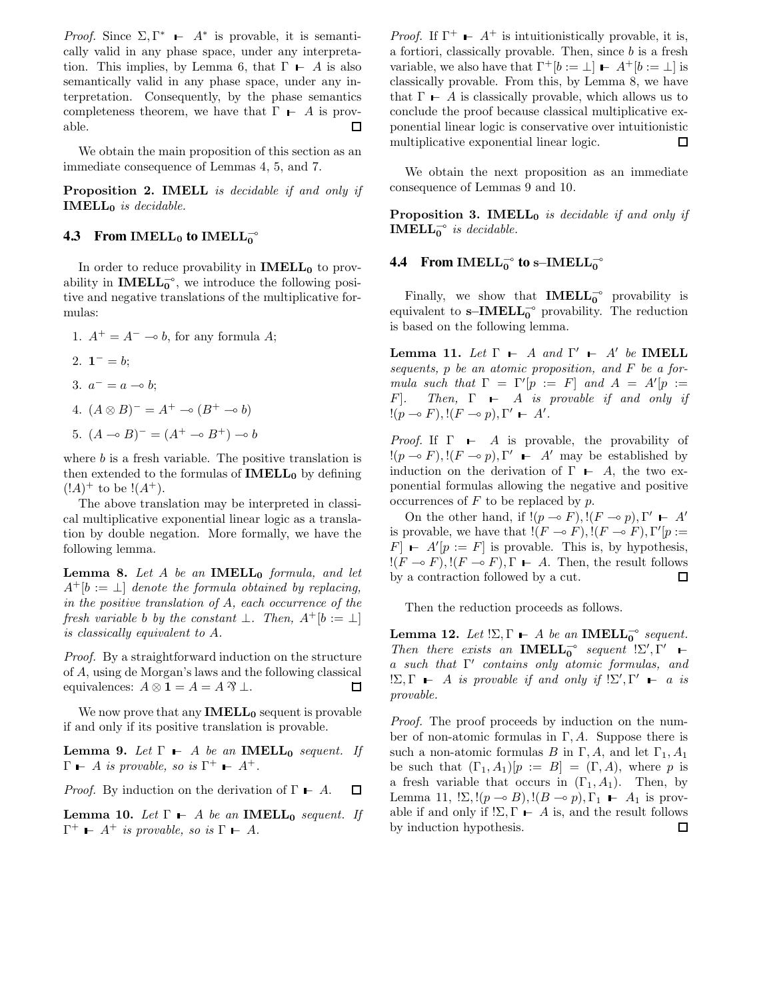Proof. Since  $\Sigma, \Gamma^*$  –  $A^*$  is provable, it is semantically valid in any phase space, under any interpretation. This implies, by Lemma 6, that  $\Gamma$  – A is also semantically valid in any phase space, under any interpretation. Consequently, by the phase semantics completeness theorem, we have that  $\Gamma \vdash A$  is prov-<br>able.  $\square$ able.

We obtain the main proposition of this section as an immediate consequence of Lemmas 4, 5, and 7.

Proposition 2. IMELL is decidable if and only if  $IMELL<sub>0</sub>$  is decidable.

## **4.3** From IMELL<sub>0</sub> to IMELL<sub>0</sub><sup> $\sim$ </sup>

In order to reduce provability in  $IMELL_0$  to provability in **IMELL**<sup> $\circ$ </sup>, we introduce the following positive and negative translations of the multiplicative formulas:

1.  $A^+ = A^- \multimap b$ , for any formula A; 2.  $1^- = b$ ; 3.  $a^- = a \multimap b;$ 4.  $(A \otimes B)^{-} = A^{+} \multimap (B^{+} \multimap b)$ 5.  $(A \multimap B)^{=} = (A^{+} \multimap B^{+}) \multimap b$ 

where  $b$  is a fresh variable. The positive translation is then extended to the formulas of  $IMELL_0$  by defining  $(!A)^+$  to be  $!(A^+).$ 

The above translation may be interpreted in classical multiplicative exponential linear logic as a translation by double negation. More formally, we have the following lemma.

**Lemma 8.** Let A be an **IMELL**<sub>0</sub> formula, and let  $A^+[b := \perp]$  denote the formula obtained by replacing, in the positive translation of A, each occurrence of the fresh variable b by the constant  $\bot$ . Then,  $A^+[b := \bot]$ is classically equivalent to A.

Proof. By a straightforward induction on the structure of A, using de Morgan's laws and the following classical equivalences:  $A \otimes \mathbf{1} = A = A \mathbf{\mathcal{R}} \perp$ . 口

We now prove that any  $IMELL_0$  sequent is provable if and only if its positive translation is provable.

**Lemma 9.** Let  $\Gamma$   $\vdash$  A be an **IMELL**<sub>0</sub> sequent. If  $\Gamma$  – A is provable, so is  $\Gamma^+$  –  $A^+$ .

*Proof.* By induction on the derivation of  $\Gamma$   $\vdash$  A.  $\Box$ 

**Lemma 10.** Let  $\Gamma$   $\vdash$  A be an **IMELL**<sub>0</sub> sequent. If  $\Gamma^+$  –  $A^+$  is provable, so is  $\Gamma$  –  $A$ .

*Proof.* If  $\Gamma^+$  –  $A^+$  is intuitionistically provable, it is, a fortiori, classically provable. Then, since  $b$  is a fresh variable, we also have that  $\Gamma^+[b := \bot] \vdash A^+[b := \bot]$  is classically provable. From this, by Lemma 8, we have that  $\Gamma$   $\vdash$  A is classically provable, which allows us to conclude the proof because classical multiplicative exponential linear logic is conservative over intuitionistic multiplicative exponential linear logic. □

We obtain the next proposition as an immediate consequence of Lemmas 9 and 10.

**Proposition 3. IMELL**<sup>0</sup> is decidable if and only if **IMELL**<sup> $\circ$ </sup> is decidable.

## **4.4** From IMELL $_0^-$  to s−IMELL $_0^-$

Finally, we show that  $IMELL_0^{\circ}$  provability is equivalent to  $\textbf{s}-\textbf{IMELL}_0^\multimap$  provability. The reduction is based on the following lemma.

Lemma 11. Let  $\Gamma$   $\vdash$  A and  $\Gamma'$   $\vdash$  A' be IMELL sequents,  $p$  be an atomic proposition, and  $F$  be a formula such that  $\Gamma = \Gamma' [p := F]$  and  $A = A'[p :=$ F]. Then,  $\Gamma$   $\vdash$  A is provable if and only if  $!(p \multimap F),!(F \multimap p),\Gamma' \vdash A'.$ 

*Proof.* If  $\Gamma$   $\vdash$  A is provable, the provability of  $!(p \multimap F), !(F \multimap p), \Gamma' \vdash A'$  may be established by induction on the derivation of  $\Gamma$  – A, the two exponential formulas allowing the negative and positive occurrences of  $F$  to be replaced by  $p$ .

On the other hand, if  $!(p \multimap F),!(F \multimap p),\Gamma' \vdash A'$ is provable, we have that  $!(F \multimap F), !(F \multimap F), \Gamma'[p :=$  $[F]$  –  $A'[p := F]$  is provable. This is, by hypothesis,  $!(F \multimap F), !(F \multimap F), \Gamma \vdash A$ . Then, the result follows by a contraction followed by a cut. by a contraction followed by a cut.

Then the reduction proceeds as follows.

**Lemma 12.** Let  $! \Sigma, \Gamma \vdash A$  be an **IMELL**<sup>-</sup> sequent. Then there exists an **IMELL**<sup> $\circ$ </sup> sequent  $! \Sigma', \Gamma'$   $\vdash$ a such that  $\Gamma'$  contains only atomic formulas, and  $\Sigma, \Gamma \vdash A$  is provable if and only if  $\Sigma', \Gamma' \vdash a$  is provable.

Proof. The proof proceeds by induction on the number of non-atomic formulas in Γ, A. Suppose there is such a non-atomic formulas B in Γ, A, and let  $\Gamma_1$ , A<sub>1</sub> be such that  $(\Gamma_1, A_1)[p := B] = (\Gamma, A)$ , where p is a fresh variable that occurs in  $(\Gamma_1, A_1)$ . Then, by Lemma 11,  $! \Sigma$ ,  $!(p \multimap B)$ ,  $!(B \multimap p)$ ,  $\Gamma_1 \vdash A_1$  is provable if and only if  $! \Sigma, \Gamma \vdash A$  is, and the result follows<br>by induction hypothesis.  $\square$ by induction hypothesis.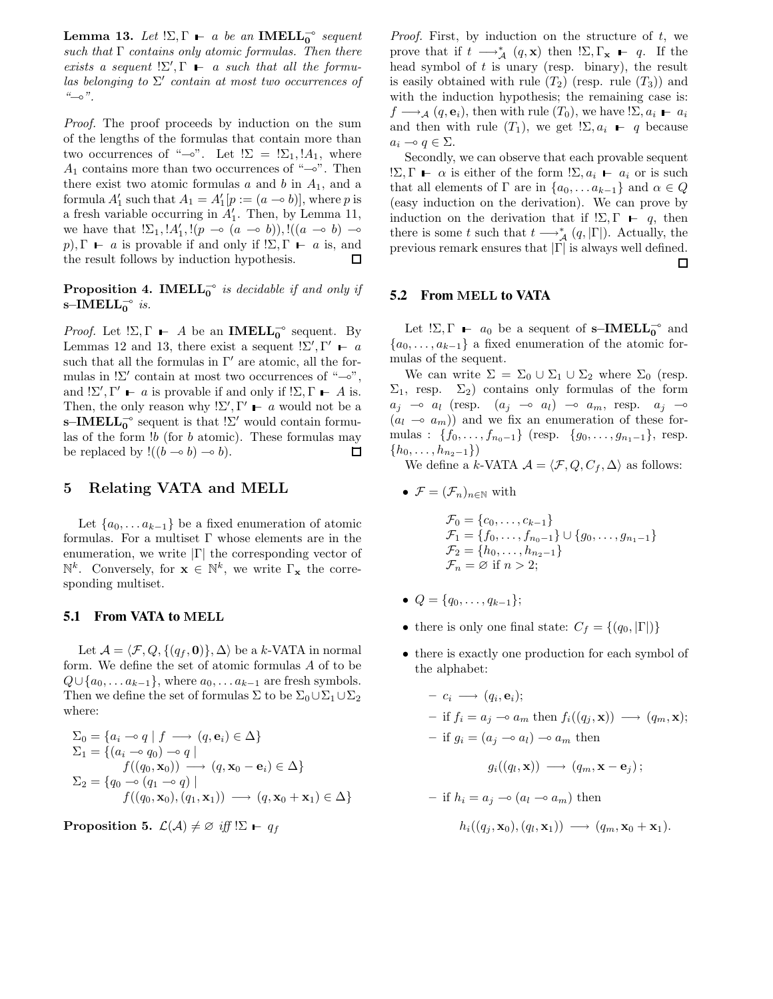Lemma 13. Let  $\Sigma, \Gamma \vdash a$  be an IMELL<sub>0</sub>° sequent such that  $\Gamma$  contains only atomic formulas. Then there exists a sequent  $! \Sigma', \Gamma \vdash a$  such that all the formulas belonging to  $\Sigma'$  contain at most two occurrences of  $\frac{u}{v}$  .

Proof. The proof proceeds by induction on the sum of the lengths of the formulas that contain more than two occurrences of " $\sim$ ". Let  $! \Sigma = \Sigma_1, !A_1$ , where  $A_1$  contains more than two occurrences of " $\sim$ ". Then there exist two atomic formulas  $a$  and  $b$  in  $A_1$ , and a formula  $A'_1$  such that  $A_1 = A'_1[p := (a \multimap b)],$  where p is a fresh variable occurring in  $A'_1$ . Then, by Lemma 11, we have that  $! \Sigma_1, !A'_1, !(p \multimap (a \multimap b)), !((a \multimap b) \multimap$ p),  $\Gamma$  – a is provable if and only if  $! \Sigma$ ,  $\Gamma$  – a is, and the result follows by induction hypothesis.  $\square$ the result follows by induction hypothesis.

**Proposition 4. IMELL**<sup> $\circ$ </sup> is decidable if and only if s–IMELL $_0$ <sup>o</sup> is.

*Proof.* Let  $! \Sigma, \Gamma \vdash A$  be an **IMELL**<sub>0</sub><sup>o</sup> sequent. By Lemmas 12 and 13, there exist a sequent  $! \Sigma', \Gamma' \vdash a$ such that all the formulas in  $\Gamma'$  are atomic, all the formulas in  $!\Sigma'$  contain at most two occurrences of " $\multimap$ ", and  $!\Sigma', \Gamma' \vdash a$  is provable if and only if  $!\Sigma, \Gamma \vdash A$  is. Then, the only reason why  $! \Sigma', \Gamma' \vdash a$  would not be a s–IMELL<sub>0</sub><sup>o</sup> sequent is that  $!\Sigma'$  would contain formulas of the form  $!b$  (for  $b$  atomic). These formulas may be replaced by  $!((b \multimap b) \multimap b).$  $\Box$ 

#### 5 Relating VATA and MELL

Let  $\{a_0, \ldots a_{k-1}\}\$ be a fixed enumeration of atomic formulas. For a multiset  $\Gamma$  whose elements are in the enumeration, we write  $|\Gamma|$  the corresponding vector of  $\mathbb{N}^k$ . Conversely, for  $\mathbf{x} \in \mathbb{N}^k$ , we write  $\Gamma_{\mathbf{x}}$  the corresponding multiset.

## **5.1 From VATA to** MELL

Let  $\mathcal{A} = \langle \mathcal{F}, Q, \{ (q_f, \mathbf{0}) \}, \Delta \rangle$  be a k-VATA in normal form. We define the set of atomic formulas A of to be  $Q \cup \{a_0, \ldots a_{k-1}\}\,$ , where  $a_0, \ldots a_{k-1}$  are fresh symbols. Then we define the set of formulas  $\Sigma$  to be  $\Sigma_0\cup\Sigma_1\cup\Sigma_2$ where:

$$
\Sigma_0 = \{a_i \rightarrow q \mid f \rightarrow (q, \mathbf{e}_i) \in \Delta\}
$$
  
\n
$$
\Sigma_1 = \{(a_i \rightarrow q_0) \rightarrow q \mid f((q_0, \mathbf{x}_0)) \rightarrow (q, \mathbf{x}_0 - \mathbf{e}_i) \in \Delta\}
$$
  
\n
$$
\Sigma_2 = \{q_0 \rightarrow (q_1 \rightarrow q) \mid f((q_0, \mathbf{x}_0), (q_1, \mathbf{x}_1)) \rightarrow (q, \mathbf{x}_0 + \mathbf{x}_1) \in \Delta\}
$$

**Proposition 5.**  $\mathcal{L}(\mathcal{A}) \neq \emptyset$  iff  $! \Sigma \vdash q_f$ 

*Proof.* First, by induction on the structure of  $t$ , we prove that if  $t \longrightarrow_A^* (q, \mathbf{x})$  then  $! \Sigma, \Gamma_{\mathbf{x}} \vdash q$ . If the head symbol of  $t$  is unary (resp. binary), the result is easily obtained with rule  $(T_2)$  (resp. rule  $(T_3)$ ) and with the induction hypothesis; the remaining case is:  $f \longrightarrow_A (q, \mathbf{e}_i)$ , then with rule  $(T_0)$ , we have  $\sum_i a_i - a_i$ and then with rule  $(T_1)$ , we get  $\Sigma, a_i$  – q because  $a_i \multimap q \in \Sigma$ .

Secondly, we can observe that each provable sequent !Σ, Γ −  $\alpha$  is either of the form !Σ,  $a_i$  –  $a_i$  or is such that all elements of  $\Gamma$  are in  $\{a_0, \ldots a_{k-1}\}\$  and  $\alpha \in Q$ (easy induction on the derivation). We can prove by induction on the derivation that if  $\Sigma, \Gamma \vdash q$ , then there is some t such that  $t \longrightarrow_A^* (q, |\Gamma|)$ . Actually, the previous remark ensures that  $|\Gamma|$  is always well defined.  $\hfill \Box$ 

#### **5.2 From** MELL **to VATA**

Let  $!\Sigma$ ,  $\Gamma$  –  $a_0$  be a sequent of s–**IMELL**<sub>0</sub><sup>o</sup> and  ${a_0, \ldots, a_{k-1}}$  a fixed enumeration of the atomic formulas of the sequent.

We can write  $\Sigma = \Sigma_0 \cup \Sigma_1 \cup \Sigma_2$  where  $\Sigma_0$  (resp.  $\Sigma_1$ , resp.  $\Sigma_2$ ) contains only formulas of the form  $a_j \multimap a_l$  (resp.  $(a_j \multimap a_l) \multimap a_m$ , resp.  $a_j \multimap$  $(a_l \rightarrow a_m)$  and we fix an enumeration of these formulas : { $f_0, \ldots, f_{n_0-1}$ } (resp. { $g_0, \ldots, g_{n_1-1}$ }, resp.  ${h_0,\ldots,h_{n_2-1}}$ 

We define a k-VATA  $\mathcal{A} = \langle \mathcal{F}, Q, C_f, \Delta \rangle$  as follows:

• 
$$
\mathcal{F} = (\mathcal{F}_n)_{n \in \mathbb{N}}
$$
 with

$$
\mathcal{F}_0 = \{c_0, \dots, c_{k-1}\}\n\mathcal{F}_1 = \{f_0, \dots, f_{n_0-1}\} \cup \{g_0, \dots, g_{n_1-1}\}\n\mathcal{F}_2 = \{h_0, \dots, h_{n_2-1}\}\n\mathcal{F}_n = \emptyset \text{ if } n > 2;
$$

- $Q = \{q_0, \ldots, q_{k-1}\};$
- there is only one final state:  $C_f = \{(q_0, |\Gamma|)\}$
- there is exactly one production for each symbol of the alphabet:

$$
- c_i \longrightarrow (q_i, \mathbf{e}_i);
$$
  
\n
$$
- \text{ if } f_i = a_j \longrightarrow a_m \text{ then } f_i((q_j, \mathbf{x})) \longrightarrow (q_m, \mathbf{x});
$$
  
\n
$$
- \text{ if } g_i = (a_j \longrightarrow a_l) \longrightarrow a_m \text{ then}
$$
  
\n
$$
g_i((q_l, \mathbf{x})) \longrightarrow (q_m, \mathbf{x} - \mathbf{e}_j);
$$
  
\n
$$
- \text{ if } h_i = a_j \longrightarrow (a_l \longrightarrow a_m) \text{ then}
$$

$$
h_i((q_j,\mathbf{x}_0),(q_l,\mathbf{x}_1))\longrightarrow (q_m,\mathbf{x}_0+\mathbf{x}_1).
$$